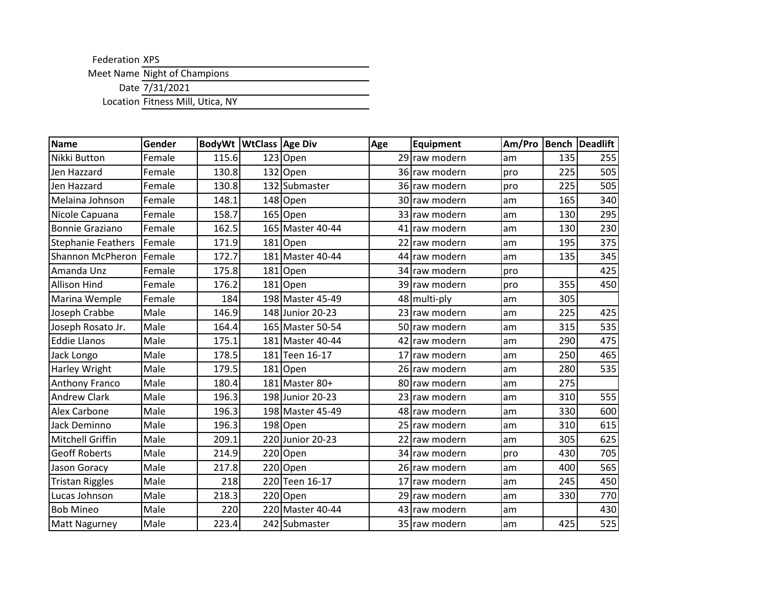Federation XPS

Meet Name Night of Champions

Date 7/31/2021

Location Fitness Mill, Utica, NY

| <b>Name</b>               | Gender | <b>BodyWt WtClass Age Div</b> |                  | Age | Equipment     | Am/Pro |     | <b>Bench Deadlift</b> |
|---------------------------|--------|-------------------------------|------------------|-----|---------------|--------|-----|-----------------------|
| Nikki Button              | Female | 115.6                         | $123$ Open       |     | 29 raw modern | am     | 135 | 255                   |
| Jen Hazzard               | Female | 130.8                         | 132 Open         |     | 36 raw modern | pro    | 225 | 505                   |
| Jen Hazzard               | Female | 130.8                         | 132 Submaster    |     | 36 raw modern | pro    | 225 | 505                   |
| Melaina Johnson           | Female | 148.1                         | 148 Open         |     | 30 raw modern | am     | 165 | 340                   |
| Nicole Capuana            | Female | 158.7                         | 165 Open         |     | 33 raw modern | am     | 130 | 295                   |
| <b>Bonnie Graziano</b>    | Female | 162.5                         | 165 Master 40-44 |     | 41 raw modern | am     | 130 | 230                   |
| <b>Stephanie Feathers</b> | Female | 171.9                         | 181 Open         |     | 22 raw modern | am     | 195 | 375                   |
| Shannon McPheron          | Female | 172.7                         | 181 Master 40-44 |     | 44 raw modern | am     | 135 | 345                   |
| Amanda Unz                | Female | 175.8                         | $181$ Open       |     | 34 raw modern | pro    |     | 425                   |
| <b>Allison Hind</b>       | Female | 176.2                         | $181$ Open       |     | 39 raw modern | pro    | 355 | 450                   |
| Marina Wemple             | Female | 184                           | 198 Master 45-49 |     | 48 multi-ply  | am     | 305 |                       |
| Joseph Crabbe             | Male   | 146.9                         | 148 Junior 20-23 |     | 23 raw modern | am     | 225 | 425                   |
| Joseph Rosato Jr.         | Male   | 164.4                         | 165 Master 50-54 |     | 50 raw modern | am     | 315 | 535                   |
| <b>Eddie Llanos</b>       | Male   | 175.1                         | 181 Master 40-44 |     | 42 raw modern | am     | 290 | 475                   |
| Jack Longo                | Male   | 178.5                         | 181 Teen 16-17   |     | 17 raw modern | am     | 250 | 465                   |
| <b>Harley Wright</b>      | Male   | 179.5                         | 181 Open         |     | 26 raw modern | am     | 280 | 535                   |
| Anthony Franco            | Male   | 180.4                         | 181 Master 80+   |     | 80 raw modern | am     | 275 |                       |
| <b>Andrew Clark</b>       | Male   | 196.3                         | 198 Junior 20-23 |     | 23 raw modern | am     | 310 | 555                   |
| Alex Carbone              | Male   | 196.3                         | 198 Master 45-49 |     | 48 raw modern | am     | 330 | 600                   |
| Jack Deminno              | Male   | 196.3                         | 198 Open         |     | 25 raw modern | am     | 310 | 615                   |
| Mitchell Griffin          | Male   | 209.1                         | 220 Junior 20-23 |     | 22 raw modern | am     | 305 | 625                   |
| <b>Geoff Roberts</b>      | Male   | 214.9                         | 220 Open         |     | 34 raw modern | pro    | 430 | 705                   |
| Jason Goracy              | Male   | 217.8                         | 220 Open         |     | 26 raw modern | am     | 400 | 565                   |
| <b>Tristan Riggles</b>    | Male   | 218                           | 220Teen 16-17    |     | 17 raw modern | am     | 245 | 450                   |
| Lucas Johnson             | Male   | 218.3                         | 220 Open         |     | 29 raw modern | am     | 330 | 770                   |
| <b>Bob Mineo</b>          | Male   | 220                           | 220 Master 40-44 |     | 43 raw modern | am     |     | 430                   |
| <b>Matt Nagurney</b>      | Male   | 223.4                         | 242 Submaster    |     | 35 raw modern | am     | 425 | 525                   |